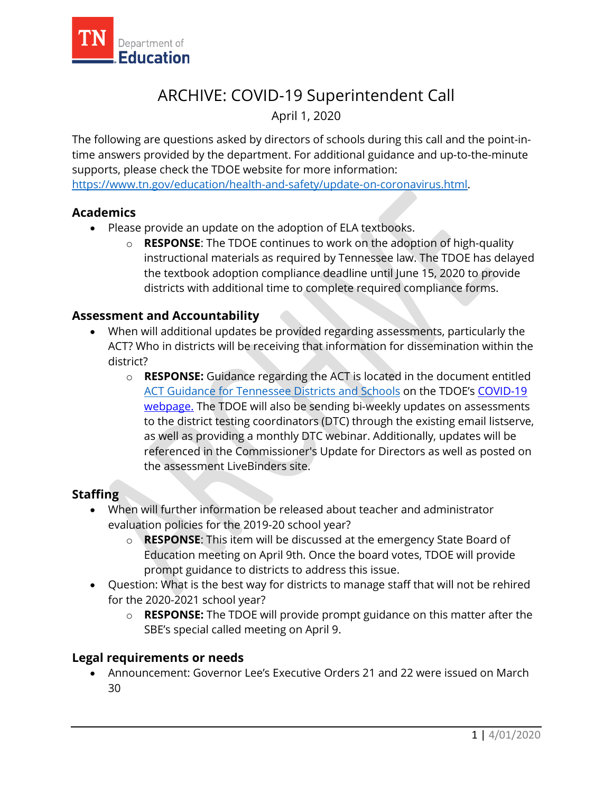

# ARCHIVE: COVID-19 Superintendent Call

April 1, 2020

The following are questions asked by directors of schools during this call and the point-intime answers provided by the department. For additional guidance and up-to-the-minute supports, please check the TDOE website for more information: [https://www.tn.gov/education/health-and-safety/update-on-coronavirus.html.](https://www.tn.gov/education/health-and-safety/update-on-coronavirus.html)

## **Academics**

- Please provide an update on the adoption of ELA textbooks.
	- o **RESPONSE**: The TDOE continues to work on the adoption of high-quality instructional materials as required by Tennessee law. The TDOE has delayed the textbook adoption compliance deadline until June 15, 2020 to provide districts with additional time to complete required compliance forms.

### **Assessment and Accountability**

- When will additional updates be provided regarding assessments, particularly the ACT? Who in districts will be receiving that information for dissemination within the district?
	- o **RESPONSE:** Guidance regarding the ACT is located in the document entitled [ACT Guidance for Tennessee Districts and Schools](https://www.tn.gov/content/dam/tn/education/health-&-safety/FINAL%20ACT%20Guidance%20for%20Districts%20and%20Schools%20(Revised%20March%2030).pdf) on the TDOE's [COVID-19](https://www.tn.gov/education/health-and-safety/update-on-coronavirus.html) [webpage.](https://www.tn.gov/education/health-and-safety/update-on-coronavirus.html) The TDOE will also be sending bi-weekly updates on assessments to the district testing coordinators (DTC) through the existing email listserve, as well as providing a monthly DTC webinar. Additionally, updates will be referenced in the Commissioner's Update for Directors as well as posted on the assessment LiveBinders site.

## **Staffing**

- When will further information be released about teacher and administrator evaluation policies for the 2019-20 school year?
	- o **RESPONSE**: This item will be discussed at the emergency State Board of Education meeting on April 9th. Once the board votes, TDOE will provide prompt guidance to districts to address this issue.
- Question: What is the best way for districts to manage staff that will not be rehired for the 2020-2021 school year?
	- o **RESPONSE:** The TDOE will provide prompt guidance on this matter after the SBE's special called meeting on April 9.

#### **Legal requirements or needs**

• Announcement: Governor Lee's Executive Orders 21 and 22 were issued on March 30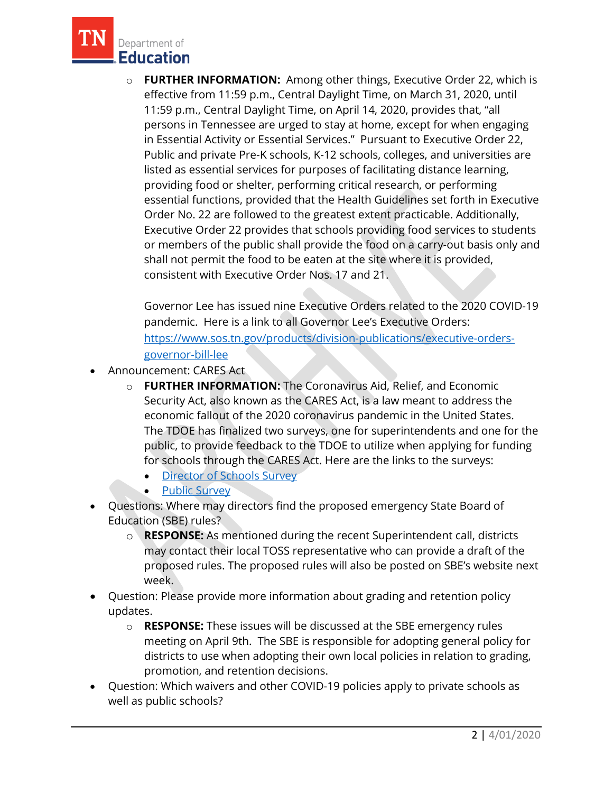

o **FURTHER INFORMATION:** Among other things, Executive Order 22, which is effective from 11:59 p.m., Central Daylight Time, on March 31, 2020, until 11:59 p.m., Central Daylight Time, on April 14, 2020, provides that, "all persons in Tennessee are urged to stay at home, except for when engaging in Essential Activity or Essential Services." Pursuant to Executive Order 22, Public and private Pre-K schools, K-12 schools, colleges, and universities are listed as essential services for purposes of facilitating distance learning, providing food or shelter, performing critical research, or performing essential functions, provided that the Health Guidelines set forth in Executive Order No. 22 are followed to the greatest extent practicable. Additionally, Executive Order 22 provides that schools providing food services to students or members of the public shall provide the food on a carry-out basis only and shall not permit the food to be eaten at the site where it is provided, consistent with Executive Order Nos. 17 and 21.

Governor Lee has issued nine Executive Orders related to the 2020 COVID-19 pandemic. Here is a link to all Governor Lee's Executive Orders: [https://www.sos.tn.gov/products/division-publications/executive-orders](https://www.sos.tn.gov/products/division-publications/executive-orders-governor-bill-lee)[governor-bill-lee](https://www.sos.tn.gov/products/division-publications/executive-orders-governor-bill-lee)

- Announcement: CARES Act
	- o **FURTHER INFORMATION:** The Coronavirus Aid, Relief, and Economic Security Act, also known as the CARES Act, is a law meant to address the economic fallout of the 2020 coronavirus pandemic in the United States. The TDOE has finalized two surveys, one for superintendents and one for the public, to provide feedback to the TDOE to utilize when applying for funding for schools through the CARES Act. Here are the links to the surveys:
		- [Director of Schools Survey](https://stateoftennessee.formstack.com/forms/district_cares_survey?mc_cid=677ba20efa&mc_eid=b558c951ff)
		- [Public Survey](https://stateoftennessee.formstack.com/forms/public_cares_survey?mc_cid=677ba20efa&mc_eid=b558c951ff)
- Questions: Where may directors find the proposed emergency State Board of Education (SBE) rules?
	- o **RESPONSE:** As mentioned during the recent Superintendent call, districts may contact their local TOSS representative who can provide a draft of the proposed rules. The proposed rules will also be posted on SBE's website next week.
- Question: Please provide more information about grading and retention policy updates.
	- o **RESPONSE:** These issues will be discussed at the SBE emergency rules meeting on April 9th. The SBE is responsible for adopting general policy for districts to use when adopting their own local policies in relation to grading, promotion, and retention decisions.
- Question: Which waivers and other COVID-19 policies apply to private schools as well as public schools?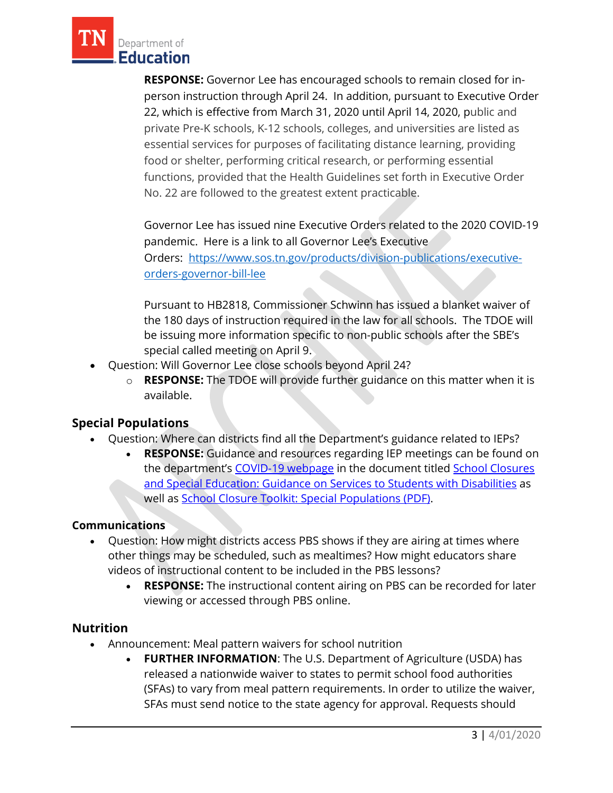

**RESPONSE:** Governor Lee has encouraged schools to remain closed for inperson instruction through April 24. In addition, pursuant to Executive Order 22, which is effective from March 31, 2020 until April 14, 2020, public and private Pre-K schools, K-12 schools, colleges, and universities are listed as essential services for purposes of facilitating distance learning, providing food or shelter, performing critical research, or performing essential functions, provided that the Health Guidelines set forth in Executive Order No. 22 are followed to the greatest extent practicable.

Governor Lee has issued nine Executive Orders related to the 2020 COVID-19 pandemic. Here is a link to all Governor Lee's Executive Orders: [https://www.sos.tn.gov/products/division-publications/executive](https://www.sos.tn.gov/products/division-publications/executive-orders-governor-bill-lee)[orders-governor-bill-lee](https://www.sos.tn.gov/products/division-publications/executive-orders-governor-bill-lee)

Pursuant to HB2818, Commissioner Schwinn has issued a blanket waiver of the 180 days of instruction required in the law for all schools. The TDOE will be issuing more information specific to non-public schools after the SBE's special called meeting on April 9.

- Question: Will Governor Lee close schools beyond April 24?
	- o **RESPONSE:** The TDOE will provide further guidance on this matter when it is available.

## **Special Populations**

- Question: Where can districts find all the Department's guidance related to IEPs?
	- **RESPONSE:** Guidance and resources regarding IEP meetings can be found on the department's [COVID-19 webpage](https://www.tn.gov/education/health-and-safety/update-on-coronavirus.html) in the document titled [School Closures](https://www.tn.gov/content/dam/tn/education/health-&-safety/SPED%20Guidance%20COVID_TN%20Final.pdf) [and Special Education: Guidance on Services to Students with Disabilities](https://www.tn.gov/content/dam/tn/education/health-&-safety/SPED%20Guidance%20COVID_TN%20Final.pdf) as well as [School Closure Toolkit: Special Populations \(PDF\).](https://www.tn.gov/content/dam/tn/education/health-&-safety/School%20Closure%20Toolkit_Special%20Populations.pdf)

#### **Communications**

- Question: How might districts access PBS shows if they are airing at times where other things may be scheduled, such as mealtimes? How might educators share videos of instructional content to be included in the PBS lessons?
	- **RESPONSE:** The instructional content airing on PBS can be recorded for later viewing or accessed through PBS online.

## **Nutrition**

- Announcement: Meal pattern waivers for school nutrition
	- **FURTHER INFORMATION**: The U.S. Department of Agriculture (USDA) has released a nationwide waiver to states to permit school food authorities (SFAs) to vary from meal pattern requirements. In order to utilize the waiver, SFAs must send notice to the state agency for approval. Requests should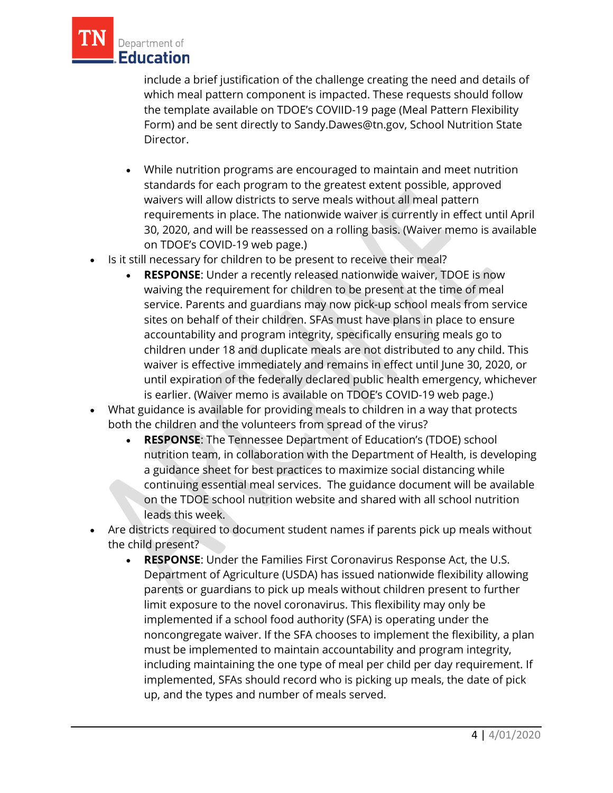

include a brief justification of the challenge creating the need and details of which meal pattern component is impacted. These requests should follow the template available on TDOE's COVIID-19 page (Meal Pattern Flexibility Form) and be sent directly to Sandy.Dawes@tn.gov, School Nutrition State Director.

- While nutrition programs are encouraged to maintain and meet nutrition standards for each program to the greatest extent possible, approved waivers will allow districts to serve meals without all meal pattern requirements in place. The nationwide waiver is currently in effect until April 30, 2020, and will be reassessed on a rolling basis. (Waiver memo is available on TDOE's COVID-19 web page.)
- Is it still necessary for children to be present to receive their meal?
	- **RESPONSE**: Under a recently released nationwide waiver, TDOE is now waiving the requirement for children to be present at the time of meal service. Parents and guardians may now pick-up school meals from service sites on behalf of their children. SFAs must have plans in place to ensure accountability and program integrity, specifically ensuring meals go to children under 18 and duplicate meals are not distributed to any child. This waiver is effective immediately and remains in effect until June 30, 2020, or until expiration of the federally declared public health emergency, whichever is earlier. (Waiver memo is available on TDOE's COVID-19 web page.)
- What guidance is available for providing meals to children in a way that protects both the children and the volunteers from spread of the virus?
	- **RESPONSE**: The Tennessee Department of Education's (TDOE) school nutrition team, in collaboration with the Department of Health, is developing a guidance sheet for best practices to maximize social distancing while continuing essential meal services. The guidance document will be available on the TDOE school nutrition website and shared with all school nutrition leads this week.
- Are districts required to document student names if parents pick up meals without the child present?
	- **RESPONSE**: Under the Families First Coronavirus Response Act, the U.S. Department of Agriculture (USDA) has issued nationwide flexibility allowing parents or guardians to pick up meals without children present to further limit exposure to the novel coronavirus. This flexibility may only be implemented if a school food authority (SFA) is operating under the noncongregate waiver. If the SFA chooses to implement the flexibility, a plan must be implemented to maintain accountability and program integrity, including maintaining the one type of meal per child per day requirement. If implemented, SFAs should record who is picking up meals, the date of pick up, and the types and number of meals served.